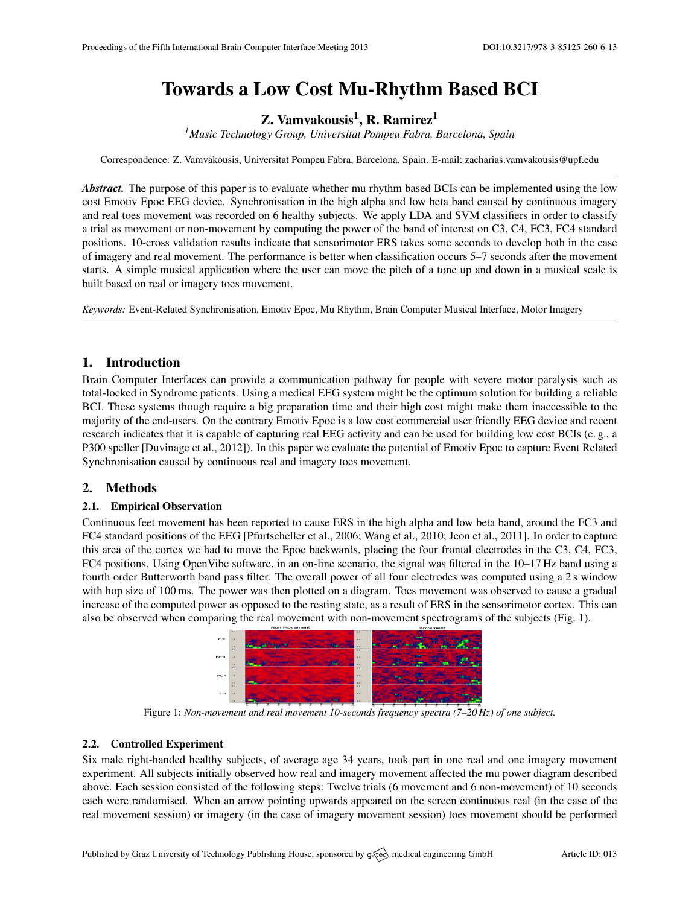# Towards a Low Cost Mu-Rhythm Based BCI

Z. Vamvakousis<sup>1</sup>, R. Ramirez<sup>1</sup>

*<sup>1</sup>Music Technology Group, Universitat Pompeu Fabra, Barcelona, Spain*

Correspondence: Z. Vamvakousis, Universitat Pompeu Fabra, Barcelona, Spain. E-mail: [zacharias.vamvakousis@upf.edu](mailto:zacharias.vamvakousis@upf.edu)

*Abstract.* The purpose of this paper is to evaluate whether mu rhythm based BCIs can be implemented using the low cost Emotiv Epoc EEG device. Synchronisation in the high alpha and low beta band caused by continuous imagery and real toes movement was recorded on 6 healthy subjects. We apply LDA and SVM classifiers in order to classify a trial as movement or non-movement by computing the power of the band of interest on C3, C4, FC3, FC4 standard positions. 10-cross validation results indicate that sensorimotor ERS takes some seconds to develop both in the case of imagery and real movement. The performance is better when classification occurs 5–7 seconds after the movement starts. A simple musical application where the user can move the pitch of a tone up and down in a musical scale is built based on real or imagery toes movement.

*Keywords:* Event-Related Synchronisation, Emotiv Epoc, Mu Rhythm, Brain Computer Musical Interface, Motor Imagery

## 1. Introduction

Brain Computer Interfaces can provide a communication pathway for people with severe motor paralysis such as total-locked in Syndrome patients. Using a medical EEG system might be the optimum solution for building a reliable BCI. These systems though require a big preparation time and their high cost might make them inaccessible to the majority of the end-users. On the contrary Emotiv Epoc is a low cost commercial user friendly EEG device and recent research indicates that it is capable of capturing real EEG activity and can be used for building low cost BCIs (e. g., a P300 speller [\[Duvinage et al.,](#page-1-0) [2012\]](#page-1-0)). In this paper we evaluate the potential of Emotiv Epoc to capture Event Related Synchronisation caused by continuous real and imagery toes movement.

## 2. Methods

## 2.1. Empirical Observation

Continuous feet movement has been reported to cause ERS in the high alpha and low beta band, around the FC3 and FC4 standard positions of the EEG [\[Pfurtscheller et al.,](#page-1-1) [2006;](#page-1-1) [Wang et al.,](#page-1-2) [2010;](#page-1-2) [Jeon et al.,](#page-1-3) [2011\]](#page-1-3). In order to capture this area of the cortex we had to move the Epoc backwards, placing the four frontal electrodes in the C3, C4, FC3, FC4 positions. Using OpenVibe software, in an on-line scenario, the signal was filtered in the 10–17 Hz band using a fourth order Butterworth band pass filter. The overall power of all four electrodes was computed using a 2 s window with hop size of 100 ms. The power was then plotted on a diagram. Toes movement was observed to cause a gradual increase of the computed power as opposed to the resting state, as a result of ERS in the sensorimotor cortex. This can also be observed when comparing the real movement with non-movement spectrograms of the subjects (Fig. [1\)](#page-0-0).



<span id="page-0-0"></span>Figure 1: *Non-movement and real movement 10-seconds frequency spectra (7–20 Hz) of one subject.*

#### 2.2. Controlled Experiment

Six male right-handed healthy subjects, of average age 34 years, took part in one real and one imagery movement experiment. All subjects initially observed how real and imagery movement affected the mu power diagram described above. Each session consisted of the following steps: Twelve trials (6 movement and 6 non-movement) of 10 seconds each were randomised. When an arrow pointing upwards appeared on the screen continuous real (in the case of the real movement session) or imagery (in the case of imagery movement session) toes movement should be performed